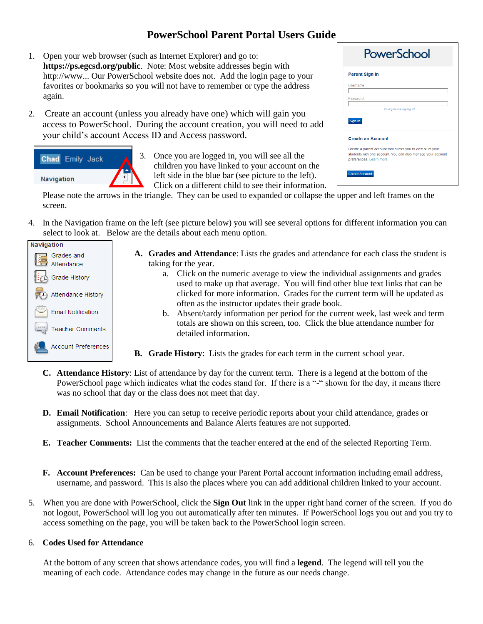# **PowerSchool Parent Portal Users Guide**

- 1. Open your web browser (such as Internet Explorer) and go to: **https://ps.egcsd.org/public**. Note: Most website addresses begin with http://www... Our PowerSchool website does not. Add the login page to your favorites or bookmarks so you will not have to remember or type the address again.
- 2. Create an account (unless you already have one) which will gain you access to PowerSchool. During the account creation, you will need to add your child's account Access ID and Access password.



3. Once you are logged in, you will see all the children you have linked to your account on the left side in the blue bar (see picture to the left). Click on a different child to see their information.

| PowerSchool           |                                                             |  |
|-----------------------|-------------------------------------------------------------|--|
| <b>Parent Sign In</b> |                                                             |  |
| Username              |                                                             |  |
| Password              |                                                             |  |
|                       | Having trouble signing in?                                  |  |
| Sign In               | <b>Create an Account</b>                                    |  |
|                       | Create a parent account that allows you to view all of your |  |

Please note the arrows in the triangle. They can be used to expanded or collapse the upper and left frames on the screen.

4. In the Navigation frame on the left (see picture below) you will see several options for different information you can select to look at. Below are the details about each menu option.



- **A. Grades and Attendance**: Lists the grades and attendance for each class the student is taking for the year.
	- a. Click on the numeric average to view the individual assignments and grades used to make up that average. You will find other blue text links that can be clicked for more information. Grades for the current term will be updated as often as the instructor updates their grade book.
	- b. Absent/tardy information per period for the current week, last week and term totals are shown on this screen, too. Click the blue attendance number for detailed information.
- **B. Grade History**: Lists the grades for each term in the current school year.
- **C. Attendance History**: List of attendance by day for the current term. There is a legend at the bottom of the PowerSchool page which indicates what the codes stand for. If there is a "-" shown for the day, it means there was no school that day or the class does not meet that day.
- **D. Email Notification**: Here you can setup to receive periodic reports about your child attendance, grades or assignments. School Announcements and Balance Alerts features are not supported.
- **E. Teacher Comments:** List the comments that the teacher entered at the end of the selected Reporting Term.
- **F. Account Preferences:** Can be used to change your Parent Portal account information including email address, username, and password. This is also the places where you can add additional children linked to your account.
- 5. When you are done with PowerSchool, click the **Sign Out** link in the upper right hand corner of the screen. If you do not logout, PowerSchool will log you out automatically after ten minutes. If PowerSchool logs you out and you try to access something on the page, you will be taken back to the PowerSchool login screen.

## 6. **Codes Used for Attendance**

At the bottom of any screen that shows attendance codes, you will find a **legend**. The legend will tell you the meaning of each code. Attendance codes may change in the future as our needs change.